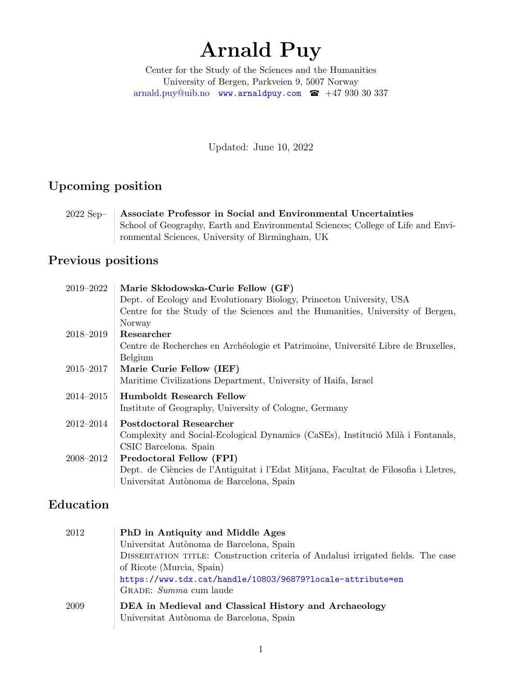# Arnald Puy

Center for the Study of the Sciences and the Humanities University of Bergen, Parkveien 9, 5007 Norway [arnald.puy@uib.no](mailto:arnald.puy@uib.no) <www.arnaldpuy.com>  $\bullet$  +47 930 30 337

Updated: June 10, 2022

### Upcoming position

2022 Sep– Associate Professor in Social and Environmental Uncertainties School of Geography, Earth and Environmental Sciences; College of Life and Environmental Sciences, University of Birmingham, UK

### Previous positions

| 2019–2022     | Marie Skłodowska-Curie Fellow (GF)                                                   |
|---------------|--------------------------------------------------------------------------------------|
|               | Dept. of Ecology and Evolutionary Biology, Princeton University, USA                 |
|               | Centre for the Study of the Sciences and the Humanities, University of Bergen,       |
|               | Norway                                                                               |
| 2018–2019     | Researcher                                                                           |
|               | Centre de Recherches en Archéologie et Patrimoine, Université Libre de Bruxelles,    |
|               | Belgium                                                                              |
| 2015–2017     | Marie Curie Fellow (IEF)                                                             |
|               | Maritime Civilizations Department, University of Haifa, Israel                       |
| $2014 - 2015$ | <b>Humboldt Research Fellow</b>                                                      |
|               | Institute of Geography, University of Cologne, Germany                               |
| 2012–2014     | Postdoctoral Researcher                                                              |
|               | Complexity and Social-Ecological Dynamics (CaSEs), Institució Milà i Fontanals,      |
|               | CSIC Barcelona. Spain                                                                |
| 2008–2012     | Predoctoral Fellow (FPI)                                                             |
|               | Dept. de Ciències de l'Antiguitat i l'Edat Mitjana, Facultat de Filosofia i Lletres, |
|               | Universitat Autònoma de Barcelona, Spain                                             |

#### Education

| PhD in Antiquity and Middle Ages                                                                  |
|---------------------------------------------------------------------------------------------------|
| Universitat Autònoma de Barcelona, Spain                                                          |
| DISSERTATION TITLE: Construction criteria of Andalusi irrigated fields. The case                  |
| of Ricote (Murcia, Spain)                                                                         |
| https://www.tdx.cat/handle/10803/96879?locale-attribute=en                                        |
| GRADE: Summa cum laude                                                                            |
| DEA in Medieval and Classical History and Archaeology<br>Universitat Autònoma de Barcelona, Spain |
|                                                                                                   |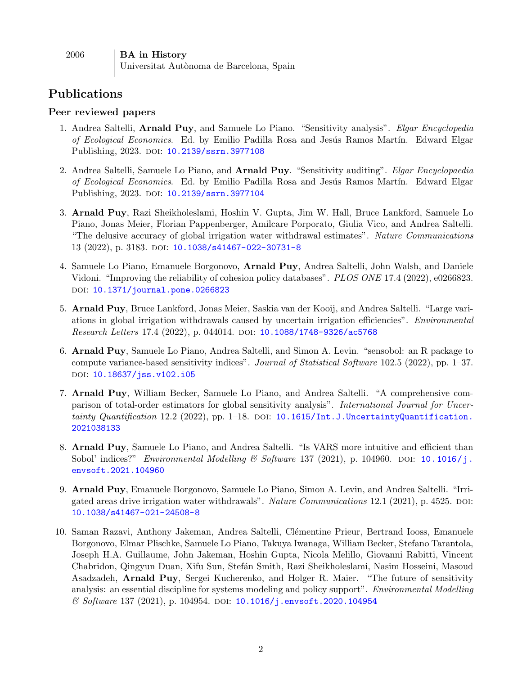| 2006 | <b>BA</b> in History                     |
|------|------------------------------------------|
|      | Universitat Autònoma de Barcelona, Spain |

#### Publications

#### Peer reviewed papers

- 1. Andrea Saltelli, Arnald Puy, and Samuele Lo Piano. "Sensitivity analysis". Elgar Encyclopedia of Ecological Economics. Ed. by Emilio Padilla Rosa and Jesús Ramos Martín. Edward Elgar Publishing, 2023. DOI: [10.2139/ssrn.3977108](https://doi.org/10.2139/ssrn.3977108)
- 2. Andrea Saltelli, Samuele Lo Piano, and Arnald Puy. "Sensitivity auditing". Elgar Encyclopaedia of Ecological Economics. Ed. by Emilio Padilla Rosa and Jesús Ramos Martín. Edward Elgar Publishing, 2023. DOI: [10.2139/ssrn.3977104](https://doi.org/10.2139/ssrn.3977104)
- 3. Arnald Puy, Razi Sheikholeslami, Hoshin V. Gupta, Jim W. Hall, Bruce Lankford, Samuele Lo Piano, Jonas Meier, Florian Pappenberger, Amilcare Porporato, Giulia Vico, and Andrea Saltelli. "The delusive accuracy of global irrigation water withdrawal estimates". Nature Communications 13 (2022), p. 3183. DOI: [10.1038/s41467-022-30731-8](https://doi.org/10.1038/s41467-022-30731-8)
- 4. Samuele Lo Piano, Emanuele Borgonovo, Arnald Puy, Andrea Saltelli, John Walsh, and Daniele Vidoni. "Improving the reliability of cohesion policy databases". PLOS ONE 17.4 (2022), e0266823. DOI: [10.1371/journal.pone.0266823](https://doi.org/10.1371/journal.pone.0266823)
- 5. Arnald Puy, Bruce Lankford, Jonas Meier, Saskia van der Kooij, and Andrea Saltelli. "Large variations in global irrigation withdrawals caused by uncertain irrigation efficiencies". Environmental Research Letters 17.4 (2022), p. 044014. DOI: [10.1088/1748-9326/ac5768](https://doi.org/10.1088/1748-9326/ac5768)
- 6. Arnald Puy, Samuele Lo Piano, Andrea Saltelli, and Simon A. Levin. "sensobol: an R package to compute variance-based sensitivity indices". Journal of Statistical Software 102.5 (2022), pp. 1–37. doi: [10.18637/jss.v102.i05](https://doi.org/10.18637/jss.v102.i05)
- 7. Arnald Puy, William Becker, Samuele Lo Piano, and Andrea Saltelli. "A comprehensive comparison of total-order estimators for global sensitivity analysis". International Journal for Uncertainty Quantification 12.2 (2022), pp. 1-18. DOI:  $10.1615/Int.J.J.$  Uncertainty Quantification. [2021038133](https://doi.org/10.1615/Int.J.UncertaintyQuantification.2021038133)
- 8. Arnald Puy, Samuele Lo Piano, and Andrea Saltelli. "Is VARS more intuitive and efficient than Sobol' indices?" Environmental Modelling & Software 137 (2021), p. 104960. poi: [10.1016/j.](https://doi.org/10.1016/j.envsoft.2021.104960) [envsoft.2021.104960](https://doi.org/10.1016/j.envsoft.2021.104960)
- 9. Arnald Puy, Emanuele Borgonovo, Samuele Lo Piano, Simon A. Levin, and Andrea Saltelli. "Irrigated areas drive irrigation water withdrawals". Nature Communications 12.1 (2021), p. 4525. DOI: [10.1038/s41467-021-24508-8](https://doi.org/10.1038/s41467-021-24508-8)
- 10. Saman Razavi, Anthony Jakeman, Andrea Saltelli, Clémentine Prieur, Bertrand Iooss, Emanuele Borgonovo, Elmar Plischke, Samuele Lo Piano, Takuya Iwanaga, William Becker, Stefano Tarantola, Joseph H.A. Guillaume, John Jakeman, Hoshin Gupta, Nicola Melillo, Giovanni Rabitti, Vincent Chabridon, Qingyun Duan, Xifu Sun, Stefán Smith, Razi Sheikholeslami, Nasim Hosseini, Masoud Asadzadeh, Arnald Puy, Sergei Kucherenko, and Holger R. Maier. "The future of sensitivity analysis: an essential discipline for systems modeling and policy support". Environmental Modelling  $\&$  Software 137 (2021), p. 104954. DOI: [10.1016/j.envsoft.2020.104954](https://doi.org/10.1016/j.envsoft.2020.104954)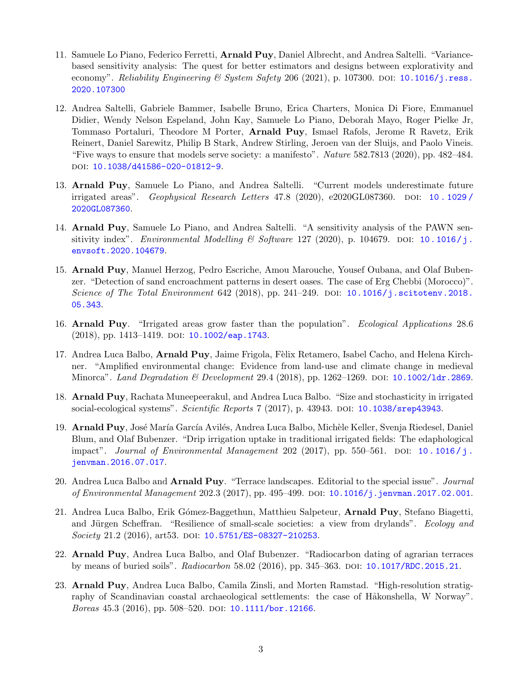- 11. Samuele Lo Piano, Federico Ferretti, **Arnald Puy**, Daniel Albrecht, and Andrea Saltelli. "Variancebased sensitivity analysis: The quest for better estimators and designs between explorativity and economy". Reliability Engineering & System Safety 206 (2021), p. 107300. DOI: [10.1016/j.ress.](https://doi.org/10.1016/j.ress.2020.107300) [2020.107300](https://doi.org/10.1016/j.ress.2020.107300)
- 12. Andrea Saltelli, Gabriele Bammer, Isabelle Bruno, Erica Charters, Monica Di Fiore, Emmanuel Didier, Wendy Nelson Espeland, John Kay, Samuele Lo Piano, Deborah Mayo, Roger Pielke Jr, Tommaso Portaluri, Theodore M Porter, Arnald Puy, Ismael Rafols, Jerome R Ravetz, Erik Reinert, Daniel Sarewitz, Philip B Stark, Andrew Stirling, Jeroen van der Sluijs, and Paolo Vineis. "Five ways to ensure that models serve society: a manifesto". Nature 582.7813 (2020), pp. 482–484. DOI: [10.1038/d41586-020-01812-9](https://doi.org/10.1038/d41586-020-01812-9).
- 13. Arnald Puy, Samuele Lo Piano, and Andrea Saltelli. "Current models underestimate future irrigated areas". Geophysical Research Letters 47.8 (2020), e2020GL087360. doi: [10 . 1029 /](https://doi.org/10.1029/2020GL087360) [2020GL087360](https://doi.org/10.1029/2020GL087360).
- 14. Arnald Puy, Samuele Lo Piano, and Andrea Saltelli. "A sensitivity analysis of the PAWN sensitivity index". Environmental Modelling  $\mathcal B$  Software 127 (2020), p. 104679. DOI: [10.1016/j.](https://doi.org/10.1016/j.envsoft.2020.104679) [envsoft.2020.104679](https://doi.org/10.1016/j.envsoft.2020.104679).
- 15. Arnald Puy, Manuel Herzog, Pedro Escriche, Amou Marouche, Yousef Oubana, and Olaf Bubenzer. "Detection of sand encroachment patterns in desert oases. The case of Erg Chebbi (Morocco)". Science of The Total Environment 642 (2018), pp. 241–249. DOI:  $10.1016/j$ .scitotenv.2018. [05.343](https://doi.org/10.1016/j.scitotenv.2018.05.343).
- 16. Arnald Puy. "Irrigated areas grow faster than the population". Ecological Applications 28.6 (2018), pp. 1413-1419. DOI: [10.1002/eap.1743](https://doi.org/10.1002/eap.1743).
- 17. Andrea Luca Balbo, Arnald Puy, Jaime Frigola, Fèlix Retamero, Isabel Cacho, and Helena Kirchner. "Amplified environmental change: Evidence from land-use and climate change in medieval Minorca". Land Degradation & Development 29.4 (2018), pp. 1262–1269. doi: 10.1002/1dr.2869.
- 18. Arnald Puy, Rachata Muneepeerakul, and Andrea Luca Balbo. "Size and stochasticity in irrigated social-ecological systems". Scientific Reports 7 (2017), p. 43943. DOI: [10.1038/srep43943](https://doi.org/10.1038/srep43943).
- 19. Arnald Puy, José María García Avilés, Andrea Luca Balbo, Michèle Keller, Svenja Riedesel, Daniel Blum, and Olaf Bubenzer. "Drip irrigation uptake in traditional irrigated fields: The edaphological impact". Journal of Environmental Management 202 (2017), pp. 550–561. DOI: 10.1016/j. [jenvman.2016.07.017](https://doi.org/10.1016/j.jenvman.2016.07.017).
- 20. Andrea Luca Balbo and **Arnald Puy**. "Terrace landscapes. Editorial to the special issue". *Journal* of Environmental Management 202.3 (2017), pp. 495–499. doi: [10.1016/j.jenvman.2017.02.001](https://doi.org/10.1016/j.jenvman.2017.02.001).
- 21. Andrea Luca Balbo, Erik Gómez-Baggethun, Matthieu Salpeteur, **Arnald Puy**, Stefano Biagetti, and Jürgen Scheffran. "Resilience of small-scale societies: a view from drylands". Ecology and  $Society 21.2 (2016), art53. DOI: 10.5751/ES-08327-210253.$  $Society 21.2 (2016), art53. DOI: 10.5751/ES-08327-210253.$  $Society 21.2 (2016), art53. DOI: 10.5751/ES-08327-210253.$
- 22. Arnald Puy, Andrea Luca Balbo, and Olaf Bubenzer. "Radiocarbon dating of agrarian terraces by means of buried soils". Radiocarbon 58.02 (2016), pp. 345–363. DOI: [10.1017/RDC.2015.21](https://doi.org/10.1017/RDC.2015.21).
- 23. Arnald Puy, Andrea Luca Balbo, Camila Zinsli, and Morten Ramstad. "High-resolution stratigraphy of Scandinavian coastal archaeological settlements: the case of Håkonshella, W Norway". Boreas  $45.3$  (2016), pp.  $508-520$ . DOI:  $10.1111/b$ or.12166.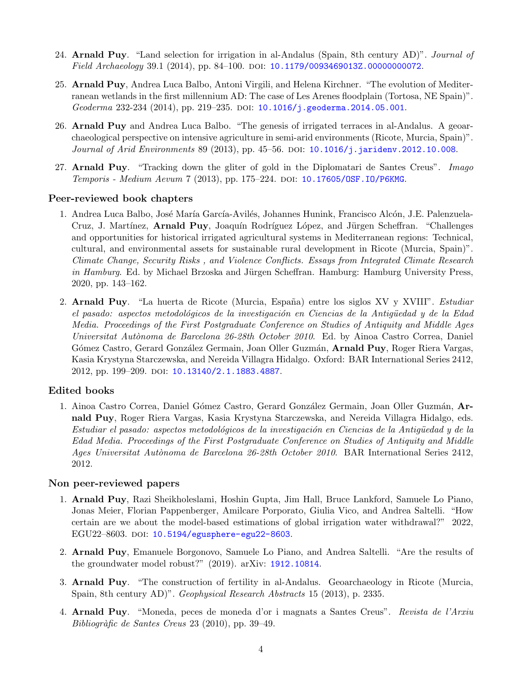- 24. **Arnald Puy**. "Land selection for irrigation in al-Andalus (Spain, 8th century AD)". *Journal of* Field Archaeology 39.1 (2014), pp. 84–100. DOI: [10.1179/0093469013Z.00000000072](https://doi.org/10.1179/0093469013Z.00000000072).
- 25. Arnald Puy, Andrea Luca Balbo, Antoni Virgili, and Helena Kirchner. "The evolution of Mediterranean wetlands in the first millennium AD: The case of Les Arenes floodplain (Tortosa, NE Spain)". Geoderma 232-234 (2014), pp. 219–235. doi: [10.1016/j.geoderma.2014.05.001](https://doi.org/10.1016/j.geoderma.2014.05.001).
- 26. Arnald Puy and Andrea Luca Balbo. "The genesis of irrigated terraces in al-Andalus. A geoarchaeological perspective on intensive agriculture in semi-arid environments (Ricote, Murcia, Spain)". Journal of Arid Environments 89 (2013), pp. 45–56. DOI: [10.1016/j.jaridenv.2012.10.008](https://doi.org/10.1016/j.jaridenv.2012.10.008).
- 27. Arnald Puy. "Tracking down the gliter of gold in the Diplomatari de Santes Creus". Imago Temporis - Medium Aevum 7 (2013), pp. 175–224. doi: [10.17605/OSF.IO/P6KMG](https://doi.org/10.17605/OSF.IO/P6KMG).

#### Peer-reviewed book chapters

- 1. Andrea Luca Balbo, José María García-Avilés, Johannes Hunink, Francisco Alcón, J.E. Palenzuela-Cruz, J. Martínez, **Arnald Puy**, Joaquín Rodríguez López, and Jürgen Scheffran. "Challenges and opportunities for historical irrigated agricultural systems in Mediterranean regions: Technical, cultural, and environmental assets for sustainable rural development in Ricote (Murcia, Spain)". Climate Change, Security Risks , and Violence Conflicts. Essays from Integrated Climate Research in Hamburg. Ed. by Michael Brzoska and Jürgen Scheffran. Hamburg: Hamburg University Press, 2020, pp. 143–162.
- 2. Arnald Puy. "La huerta de Ricote (Murcia, España) entre los siglos XV y XVIII". Estudiar el pasado: aspectos metodológicos de la investigación en Ciencias de la Antigüedad y de la Edad Media. Proceedings of the First Postgraduate Conference on Studies of Antiquity and Middle Ages Universitat Autònoma de Barcelona 26-28th October 2010. Ed. by Ainoa Castro Correa, Daniel Gómez Castro, Gerard González Germain, Joan Oller Guzmán, **Arnald Puy**, Roger Riera Vargas, Kasia Krystyna Starczewska, and Nereida Villagra Hidalgo. Oxford: BAR International Series 2412, 2012, pp. 199-209. doi: [10.13140/2.1.1883.4887](https://doi.org/10.13140/2.1.1883.4887).

#### Edited books

1. Ainoa Castro Correa, Daniel Gómez Castro, Gerard González Germain, Joan Oller Guzmán, Arnald Puy, Roger Riera Vargas, Kasia Krystyna Starczewska, and Nereida Villagra Hidalgo, eds. Estudiar el pasado: aspectos metodológicos de la investigación en Ciencias de la Antigüedad y de la Edad Media. Proceedings of the First Postgraduate Conference on Studies of Antiquity and Middle Ages Universitat Autònoma de Barcelona 26-28th October 2010. BAR International Series 2412, 2012.

#### Non peer-reviewed papers

- 1. Arnald Puy, Razi Sheikholeslami, Hoshin Gupta, Jim Hall, Bruce Lankford, Samuele Lo Piano, Jonas Meier, Florian Pappenberger, Amilcare Porporato, Giulia Vico, and Andrea Saltelli. "How certain are we about the model-based estimations of global irrigation water withdrawal?" 2022, EGU22-8603. DOI: [10.5194/egusphere-egu22-8603](https://doi.org/10.5194/egusphere-egu22-8603).
- 2. Arnald Puy, Emanuele Borgonovo, Samuele Lo Piano, and Andrea Saltelli. "Are the results of the groundwater model robust?" (2019). arXiv: [1912.10814](https://arxiv.org/abs/1912.10814).
- 3. Arnald Puy. "The construction of fertility in al-Andalus. Geoarchaeology in Ricote (Murcia, Spain, 8th century AD)". Geophysical Research Abstracts 15 (2013), p. 2335.
- 4. Arnald Puy. "Moneda, peces de moneda d'or i magnats a Santes Creus". Revista de l'Arxiu Bibliogr`afic de Santes Creus 23 (2010), pp. 39–49.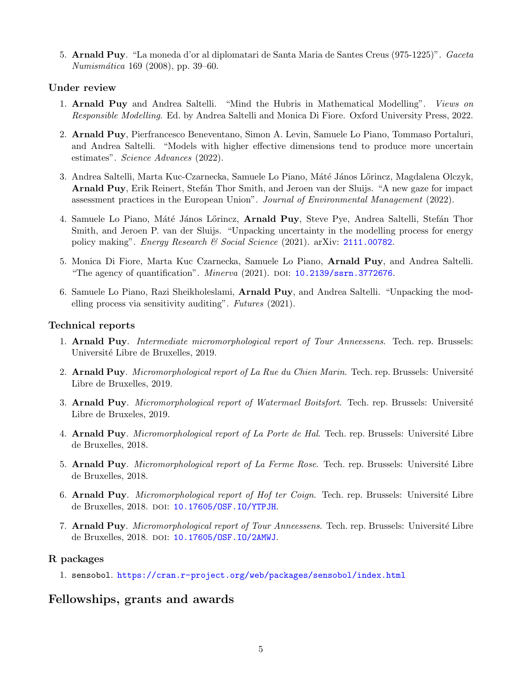5. Arnald Puy. "La moneda d'or al diplomatari de Santa Maria de Santes Creus (975-1225)". Gaceta Numismática 169 (2008), pp. 39–60.

#### Under review

- 1. Arnald Puy and Andrea Saltelli. "Mind the Hubris in Mathematical Modelling". Views on Responsible Modelling. Ed. by Andrea Saltelli and Monica Di Fiore. Oxford University Press, 2022.
- 2. Arnald Puy, Pierfrancesco Beneventano, Simon A. Levin, Samuele Lo Piano, Tommaso Portaluri, and Andrea Saltelli. "Models with higher effective dimensions tend to produce more uncertain estimates". Science Advances (2022).
- 3. Andrea Saltelli, Marta Kuc-Czarnecka, Samuele Lo Piano, Máté János Lőrincz, Magdalena Olczyk, Arnald Puy, Erik Reinert, Stefán Thor Smith, and Jeroen van der Sluijs. "A new gaze for impact assessment practices in the European Union". Journal of Environmental Management (2022).
- 4. Samuele Lo Piano, Máté János Lőrincz, **Arnald Puy**, Steve Pye, Andrea Saltelli, Stefán Thor Smith, and Jeroen P. van der Sluijs. "Unpacking uncertainty in the modelling process for energy policy making". Energy Research & Social Science (2021). arXiv: [2111.00782](https://arxiv.org/abs/2111.00782).
- 5. Monica Di Fiore, Marta Kuc Czarnecka, Samuele Lo Piano, Arnald Puy, and Andrea Saltelli. "The agency of quantification".  $Minerva$  (2021). DOI: [10.2139/ssrn.3772676](https://doi.org/10.2139/ssrn.3772676).
- 6. Samuele Lo Piano, Razi Sheikholeslami, Arnald Puy, and Andrea Saltelli. "Unpacking the modelling process via sensitivity auditing". Futures (2021).

#### Technical reports

- 1. Arnald Puy. Intermediate micromorphological report of Tour Anneessens. Tech. rep. Brussels: Université Libre de Bruxelles, 2019.
- 2. Arnald Puy. Micromorphological report of La Rue du Chien Marin. Tech. rep. Brussels: Université Libre de Bruxelles, 2019.
- 3. Arnald Puy. Micromorphological report of Watermael Boitsfort. Tech. rep. Brussels: Université Libre de Bruxeles, 2019.
- 4. Arnald Puy. Micromorphological report of La Porte de Hal. Tech. rep. Brussels: Université Libre de Bruxelles, 2018.
- 5. Arnald Puy. Micromorphological report of La Ferme Rose. Tech. rep. Brussels: Université Libre de Bruxelles, 2018.
- 6. Arnald Puy. Micromorphological report of Hof ter Coign. Tech. rep. Brussels: Université Libre de Bruxelles, 2018. DOI: [10.17605/OSF.IO/YTPJH](https://doi.org/10.17605/OSF.IO/YTPJH).
- 7. Arnald Puy. Micromorphological report of Tour Anneessens. Tech. rep. Brussels: Université Libre de Bruxelles, 2018. DOI: [10.17605/OSF.IO/2AMWJ](https://doi.org/10.17605/OSF.IO/2AMWJ).

#### R packages

1. sensobol. <https://cran.r-project.org/web/packages/sensobol/index.html>

#### Fellowships, grants and awards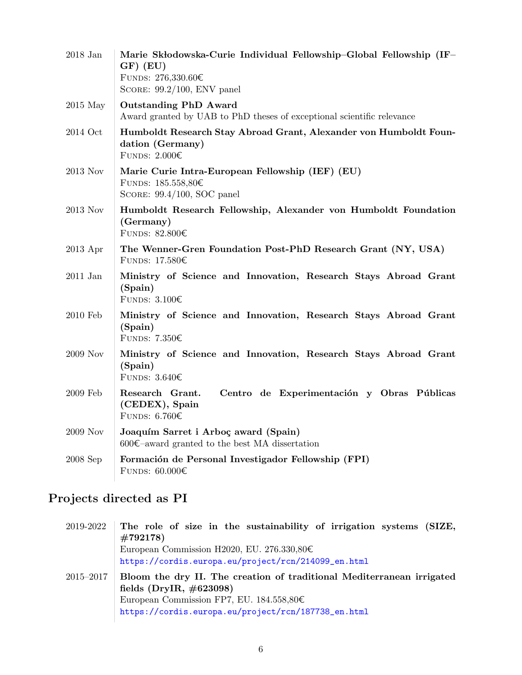| $2018~{\rm Jan}$ | Marie Skłodowska-Curie Individual Fellowship-Global Fellowship (IF-<br>$GF)$ (EU)<br>FUNDS: $276,330.60 \in$<br>SCORE: $99.2/100$ , ENV panel |
|------------------|-----------------------------------------------------------------------------------------------------------------------------------------------|
| $2015$ May       | <b>Outstanding PhD Award</b><br>Award granted by UAB to PhD theses of exceptional scientific relevance                                        |
| 2014 Oct         | Humboldt Research Stay Abroad Grant, Alexander von Humboldt Foun-<br>dation (Germany)<br>FUNDS: $2.000 \in$                                   |
| 2013 Nov         | Marie Curie Intra-European Fellowship (IEF) (EU)<br>FUNDS: $185.558,80 \in$<br>SCORE: $99.4/100$ , SOC panel                                  |
| 2013 Nov         | Humboldt Research Fellowship, Alexander von Humboldt Foundation<br>(Germany)<br>FUNDS: 82.800€                                                |
| $2013$ Apr       | The Wenner-Gren Foundation Post-PhD Research Grant (NY, USA)<br>FUNDS: $17.580\epsilon$                                                       |
| $2011$ Jan       | Ministry of Science and Innovation, Research Stays Abroad Grant<br>(Spain)<br>FUNDS: $3.100 \in$                                              |
| 2010 Feb         | Ministry of Science and Innovation, Research Stays Abroad Grant<br>(Spain)<br>FUNDS: $7.350\epsilon$                                          |
| 2009 Nov         | Ministry of Science and Innovation, Research Stays Abroad Grant<br>(Spain)<br>FUNDS: $3.640\epsilon$                                          |
| 2009 Feb         | Research Grant.<br>Centro de Experimentación y Obras Públicas<br>(CEDEX), Spain<br>FUNDS: $6.760 \in$                                         |
| 2009 Nov         | Joaquím Sarret i Arboç award (Spain)<br>$600 \text{€-award granted to the best MA dissertation}$                                              |
| $2008$ Sep       | Formación de Personal Investigador Fellowship (FPI)<br>FUNDS: $60.000 \in$                                                                    |

## Projects directed as PI

| 2019-2022     | The role of size in the sustainability of irrigation systems (SIZE,                                  |
|---------------|------------------------------------------------------------------------------------------------------|
|               | $\#792178$                                                                                           |
|               | European Commission H2020, EU. 276.330,80 $\in$                                                      |
|               | https://cordis.europa.eu/project/rcn/214099_en.html                                                  |
| $2015 - 2017$ | Bloom the dry II. The creation of traditional Mediterranean irrigated<br>fields (DryIR, $\#623098$ ) |
|               | European Commission FP7, EU. $184.558,80 \in$                                                        |
|               | https://cordis.europa.eu/project/rcn/187738_en.html                                                  |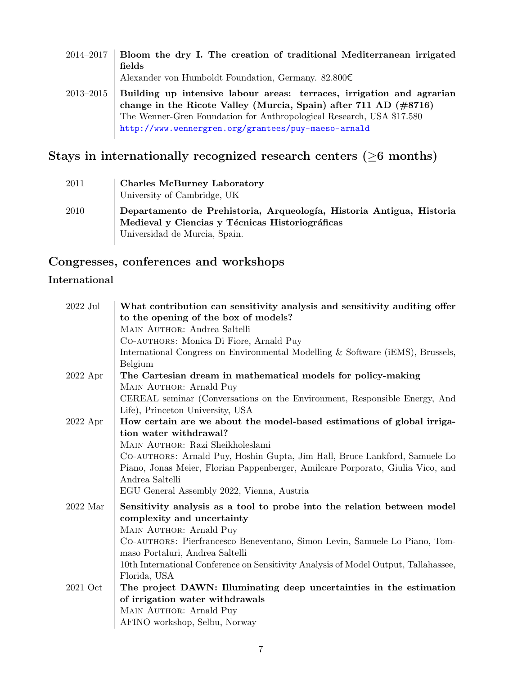2014–2017 Bloom the dry I. The creation of traditional Mediterranean irrigated fields Alexander von Humboldt Foundation, Germany. 82.800€ 2013–2015 Building up intensive labour areas: terraces, irrigation and agrarian change in the Ricote Valley (Murcia, Spain) after 711 AD (#8716) The Wenner-Gren Foundation for Anthropological Research, USA \$17.580 <http://www.wennergren.org/grantees/puy-maeso-arnald>

### Stays in internationally recognized research centers  $(≥6$  months)

| 2011 | <b>Charles McBurney Laboratory</b><br>University of Cambridge, UK                                                                                        |
|------|----------------------------------------------------------------------------------------------------------------------------------------------------------|
| 2010 | Departamento de Prehistoria, Arqueología, Historia Antigua, Historia<br>Medieval y Ciencias y Técnicas Historiográficas<br>Universidad de Murcia, Spain. |

#### Congresses, conferences and workshops

#### International

| $2022$ Jul | What contribution can sensitivity analysis and sensitivity auditing offer<br>to the opening of the box of models? |
|------------|-------------------------------------------------------------------------------------------------------------------|
|            | MAIN AUTHOR: Andrea Saltelli                                                                                      |
|            | CO-AUTHORS: Monica Di Fiore, Arnald Puy                                                                           |
|            | International Congress on Environmental Modelling & Software (iEMS), Brussels,                                    |
|            | Belgium                                                                                                           |
| $2022$ Apr | The Cartesian dream in mathematical models for policy-making                                                      |
|            | MAIN AUTHOR: Arnald Puy                                                                                           |
|            | CEREAL seminar (Conversations on the Environment, Responsible Energy, And                                         |
|            | Life), Princeton University, USA                                                                                  |
| $2022$ Apr | How certain are we about the model-based estimations of global irriga-                                            |
|            | tion water withdrawal?                                                                                            |
|            | MAIN AUTHOR: Razi Sheikholeslami                                                                                  |
|            | CO-AUTHORS: Arnald Puy, Hoshin Gupta, Jim Hall, Bruce Lankford, Samuele Lo                                        |
|            | Piano, Jonas Meier, Florian Pappenberger, Amilcare Porporato, Giulia Vico, and                                    |
|            | Andrea Saltelli                                                                                                   |
|            | EGU General Assembly 2022, Vienna, Austria                                                                        |
| $2022$ Mar | Sensitivity analysis as a tool to probe into the relation between model                                           |
|            | complexity and uncertainty                                                                                        |
|            | MAIN AUTHOR: Arnald Puy                                                                                           |
|            | CO-AUTHORS: Pierfrancesco Beneventano, Simon Levin, Samuele Lo Piano, Tom-<br>maso Portaluri, Andrea Saltelli     |
|            | 10th International Conference on Sensitivity Analysis of Model Output, Tallahassee,                               |
|            | Florida, USA                                                                                                      |
| 2021 Oct   | The project DAWN: Illuminating deep uncertainties in the estimation                                               |
|            | of irrigation water withdrawals                                                                                   |
|            | MAIN AUTHOR: Arnald Puy                                                                                           |
|            | AFINO workshop, Selbu, Norway                                                                                     |
|            |                                                                                                                   |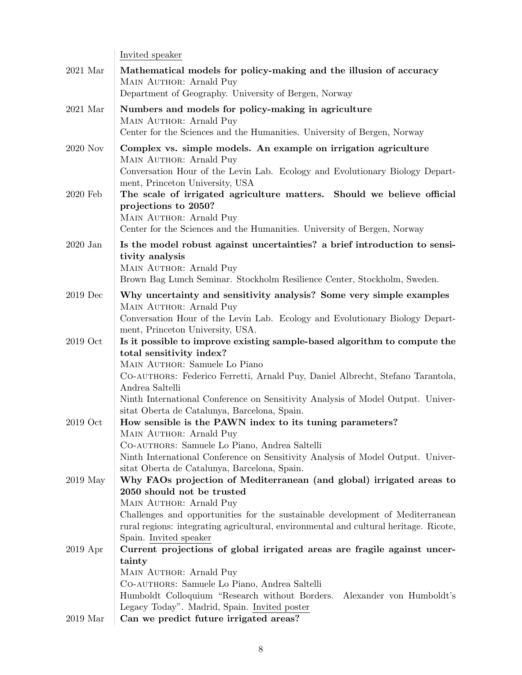|            | Invited speaker                                                                                                                                        |
|------------|--------------------------------------------------------------------------------------------------------------------------------------------------------|
| $2021$ Mar | Mathematical models for policy-making and the illusion of accuracy<br>MAIN AUTHOR: Arnald Puy<br>Department of Geography. University of Bergen, Norway |
|            |                                                                                                                                                        |
| $2021$ Mar | Numbers and models for policy-making in agriculture                                                                                                    |
|            | MAIN AUTHOR: Arnald Puy                                                                                                                                |
|            | Center for the Sciences and the Humanities. University of Bergen, Norway                                                                               |
| 2020 Nov   | Complex vs. simple models. An example on irrigation agriculture                                                                                        |
|            | MAIN AUTHOR: Arnald Puy<br>Conversation Hour of the Levin Lab. Ecology and Evolutionary Biology Depart-<br>ment, Princeton University, USA             |
| 2020 Feb   | The scale of irrigated agriculture matters. Should we believe official                                                                                 |
|            | projections to 2050?                                                                                                                                   |
|            | MAIN AUTHOR: Arnald Puy                                                                                                                                |
|            | Center for the Sciences and the Humanities. University of Bergen, Norway                                                                               |
|            |                                                                                                                                                        |
| $2020$ Jan | Is the model robust against uncertainties? a brief introduction to sensi-                                                                              |
|            | tivity analysis<br>MAIN AUTHOR: Arnald Puy                                                                                                             |
|            | Brown Bag Lunch Seminar. Stockholm Resilience Center, Stockholm, Sweden.                                                                               |
|            |                                                                                                                                                        |
| $2019$ Dec | Why uncertainty and sensitivity analysis? Some very simple examples                                                                                    |
|            | MAIN AUTHOR: Arnald Puy                                                                                                                                |
|            | Conversation Hour of the Levin Lab. Ecology and Evolutionary Biology Depart-                                                                           |
|            | ment, Princeton University, USA.                                                                                                                       |
| $2019$ Oct | Is it possible to improve existing sample-based algorithm to compute the                                                                               |
|            | total sensitivity index?<br>MAIN AUTHOR: Samuele Lo Piano                                                                                              |
|            | CO-AUTHORS: Federico Ferretti, Arnald Puy, Daniel Albrecht, Stefano Tarantola,                                                                         |
|            | Andrea Saltelli                                                                                                                                        |
|            | Ninth International Conference on Sensitivity Analysis of Model Output. Univer-                                                                        |
|            | sitat Oberta de Catalunya, Barcelona, Spain.                                                                                                           |
| $2019$ Oct | How sensible is the PAWN index to its tuning parameters?                                                                                               |
|            | MAIN AUTHOR: Arnald Puy                                                                                                                                |
|            | CO-AUTHORS: Samuele Lo Piano, Andrea Saltelli                                                                                                          |
|            | Ninth International Conference on Sensitivity Analysis of Model Output. Univer-                                                                        |
|            | sitat Oberta de Catalunya, Barcelona, Spain.                                                                                                           |
| 2019 May   | Why FAOs projection of Mediterranean (and global) irrigated areas to                                                                                   |
|            | 2050 should not be trusted                                                                                                                             |
|            | MAIN AUTHOR: Arnald Puy                                                                                                                                |
|            | Challenges and opportunities for the sustainable development of Mediterranean                                                                          |
|            | rural regions: integrating agricultural, environmental and cultural heritage. Ricote,                                                                  |
|            | Spain. Invited speaker                                                                                                                                 |
| $2019$ Apr | Current projections of global irrigated areas are fragile against uncer-                                                                               |
|            | tainty                                                                                                                                                 |
|            | MAIN AUTHOR: Arnald Puy                                                                                                                                |
|            | CO-AUTHORS: Samuele Lo Piano, Andrea Saltelli<br>Humboldt Colloquium "Research without Borders.                                                        |
|            | Alexander von Humboldt's<br>Legacy Today". Madrid, Spain. Invited poster                                                                               |
| $2019$ Mar | Can we predict future irrigated areas?                                                                                                                 |
|            |                                                                                                                                                        |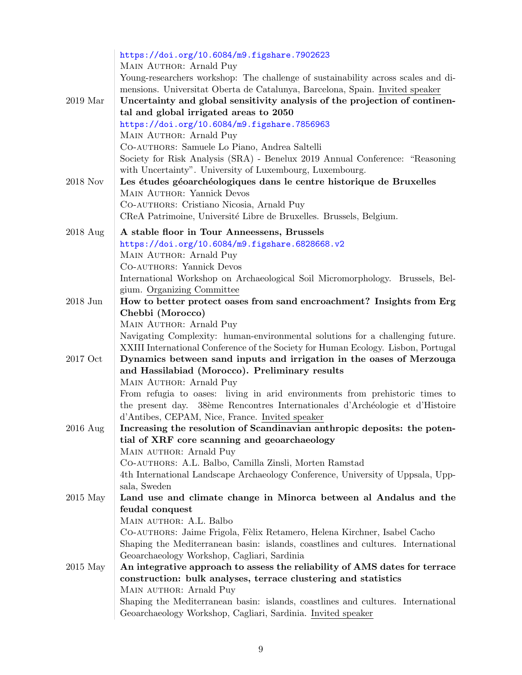|                    | https://doi.org/10.6084/m9.figshare.7902623                                                                                                               |
|--------------------|-----------------------------------------------------------------------------------------------------------------------------------------------------------|
|                    | MAIN AUTHOR: Arnald Puy                                                                                                                                   |
|                    | Young-researchers workshop: The challenge of sustainability across scales and di-                                                                         |
|                    | mensions. Universitat Oberta de Catalunya, Barcelona, Spain. Invited speaker                                                                              |
| $2019$ Mar         | Uncertainty and global sensitivity analysis of the projection of continen-                                                                                |
|                    | tal and global irrigated areas to 2050                                                                                                                    |
|                    | https://doi.org/10.6084/m9.figshare.7856963                                                                                                               |
|                    | MAIN AUTHOR: Arnald Puy                                                                                                                                   |
|                    | CO-AUTHORS: Samuele Lo Piano, Andrea Saltelli                                                                                                             |
|                    | Society for Risk Analysis (SRA) - Benelux 2019 Annual Conference: "Reasoning                                                                              |
|                    | with Uncertainty". University of Luxembourg, Luxembourg.                                                                                                  |
| 2018 Nov           | Les études géoarchéologiques dans le centre historique de Bruxelles                                                                                       |
|                    | MAIN AUTHOR: Yannick Devos                                                                                                                                |
|                    | CO-AUTHORS: Cristiano Nicosia, Arnald Puy                                                                                                                 |
|                    | CReA Patrimoine, Université Libre de Bruxelles. Brussels, Belgium.                                                                                        |
|                    |                                                                                                                                                           |
| $2018 \text{ Aug}$ | A stable floor in Tour Anneessens, Brussels                                                                                                               |
|                    | https://doi.org/10.6084/m9.figshare.6828668.v2                                                                                                            |
|                    | MAIN AUTHOR: Arnald Puy                                                                                                                                   |
|                    | CO-AUTHORS: Yannick Devos                                                                                                                                 |
|                    | International Workshop on Archaeological Soil Micromorphology. Brussels, Bel-                                                                             |
|                    | gium. Organizing Committee                                                                                                                                |
| $2018$ Jun         | How to better protect oases from sand encroachment? Insights from Erg                                                                                     |
|                    | Chebbi (Morocco)                                                                                                                                          |
|                    | MAIN AUTHOR: Arnald Puy                                                                                                                                   |
|                    | Navigating Complexity: human-environmental solutions for a challenging future.                                                                            |
| 2017 Oct           | XXIII International Conference of the Society for Human Ecology. Lisbon, Portugal<br>Dynamics between sand inputs and irrigation in the oases of Merzouga |
|                    | and Hassilabiad (Morocco). Preliminary results                                                                                                            |
|                    | MAIN AUTHOR: Arnald Puy                                                                                                                                   |
|                    | From refugia to oases: living in arid environments from prehistoric times to                                                                              |
|                    | the present day. 38ème Rencontres Internationales d'Archéologie et d'Histoire                                                                             |
|                    | d'Antibes, CEPAM, Nice, France. Invited speaker                                                                                                           |
| 2016 Aug           | Increasing the resolution of Scandinavian anthropic deposits: the poten-                                                                                  |
|                    | tial of XRF core scanning and geoarchaeology                                                                                                              |
|                    | MAIN AUTHOR: Arnald Puy                                                                                                                                   |
|                    | CO-AUTHORS: A.L. Balbo, Camilla Zinsli, Morten Ramstad                                                                                                    |
|                    | 4th International Landscape Archaeology Conference, University of Uppsala, Upp-                                                                           |
|                    | sala, Sweden                                                                                                                                              |
| $2015$ May         | Land use and climate change in Minorca between al Andalus and the                                                                                         |
|                    | feudal conquest                                                                                                                                           |
|                    | MAIN AUTHOR: A.L. Balbo                                                                                                                                   |
|                    | CO-AUTHORS: Jaime Frigola, Fèlix Retamero, Helena Kirchner, Isabel Cacho                                                                                  |
|                    | Shaping the Mediterranean basin: islands, coastlines and cultures. International                                                                          |
|                    | Geoarchaeology Workshop, Cagliari, Sardinia                                                                                                               |
| $2015$ May         | An integrative approach to assess the reliability of AMS dates for terrace                                                                                |
|                    | construction: bulk analyses, terrace clustering and statistics                                                                                            |
|                    | MAIN AUTHOR: Arnald Puy                                                                                                                                   |
|                    | Shaping the Mediterranean basin: islands, coastlines and cultures. International                                                                          |
|                    | Geoarchaeology Workshop, Cagliari, Sardinia. Invited speaker                                                                                              |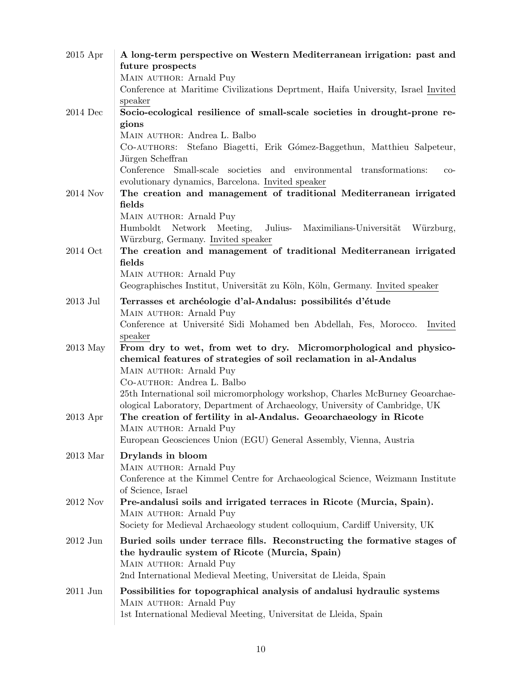| $2015$ Apr | A long-term perspective on Western Mediterranean irrigation: past and                                                                  |
|------------|----------------------------------------------------------------------------------------------------------------------------------------|
|            | future prospects                                                                                                                       |
|            | MAIN AUTHOR: Arnald Puy<br>Conference at Maritime Civilizations Deprtment, Haifa University, Israel Invited                            |
|            | speaker                                                                                                                                |
| $2014$ Dec | Socio-ecological resilience of small-scale societies in drought-prone re-                                                              |
|            | gions                                                                                                                                  |
|            | MAIN AUTHOR: Andrea L. Balbo                                                                                                           |
|            | CO-AUTHORS: Stefano Biagetti, Erik Gómez-Baggethun, Matthieu Salpeteur,                                                                |
|            | Jürgen Scheffran                                                                                                                       |
|            | Conference<br>Small-scale societies and environmental transformations:<br>$_{\rm CO-}$                                                 |
|            | evolutionary dynamics, Barcelona. Invited speaker                                                                                      |
| 2014 Nov   | The creation and management of traditional Mediterranean irrigated<br>fields                                                           |
|            | MAIN AUTHOR: Arnald Puy                                                                                                                |
|            | Network<br>Meeting,<br>Julius-<br>Humboldt<br>Maximilians-Universität<br>Würzburg,                                                     |
|            | Würzburg, Germany. Invited speaker                                                                                                     |
| $2014$ Oct | The creation and management of traditional Mediterranean irrigated                                                                     |
|            | fields                                                                                                                                 |
|            | MAIN AUTHOR: Arnald Puy                                                                                                                |
|            | Geographisches Institut, Universität zu Köln, Köln, Germany. Invited speaker                                                           |
| $2013$ Jul | Terrasses et archéologie d'al-Andalus: possibilités d'étude                                                                            |
|            | MAIN AUTHOR: Arnald Puy                                                                                                                |
|            | Conference at Université Sidi Mohamed ben Abdellah, Fes, Morocco.<br>Invited                                                           |
|            | speaker                                                                                                                                |
| $2013$ May | From dry to wet, from wet to dry. Micromorphological and physico-<br>chemical features of strategies of soil reclamation in al-Andalus |
|            | MAIN AUTHOR: Arnald Puy                                                                                                                |
|            | CO-AUTHOR: Andrea L. Balbo                                                                                                             |
|            | 25th International soil micromorphology workshop, Charles McBurney Geoarchae-                                                          |
|            | ological Laboratory, Department of Archaeology, University of Cambridge, UK                                                            |
| $2013$ Apr | The creation of fertility in al-Andalus. Geoarchaeology in Ricote                                                                      |
|            | MAIN AUTHOR: Arnald Puy                                                                                                                |
|            | European Geosciences Union (EGU) General Assembly, Vienna, Austria                                                                     |
| $2013$ Mar | Drylands in bloom                                                                                                                      |
|            | MAIN AUTHOR: Arnald Puy                                                                                                                |
|            | Conference at the Kimmel Centre for Archaeological Science, Weizmann Institute                                                         |
| 2012 Nov   | of Science, Israel<br>Pre-andalusi soils and irrigated terraces in Ricote (Murcia, Spain).                                             |
|            | MAIN AUTHOR: Arnald Puy                                                                                                                |
|            | Society for Medieval Archaeology student colloquium, Cardiff University, UK                                                            |
| $2012$ Jun | Buried soils under terrace fills. Reconstructing the formative stages of                                                               |
|            | the hydraulic system of Ricote (Murcia, Spain)                                                                                         |
|            | MAIN AUTHOR: Arnald Puy                                                                                                                |
|            | 2nd International Medieval Meeting, Universitat de Lleida, Spain                                                                       |
| $2011$ Jun | Possibilities for topographical analysis of andalusi hydraulic systems                                                                 |
|            | MAIN AUTHOR: Arnald Puy                                                                                                                |
|            | 1st International Medieval Meeting, Universitat de Lleida, Spain                                                                       |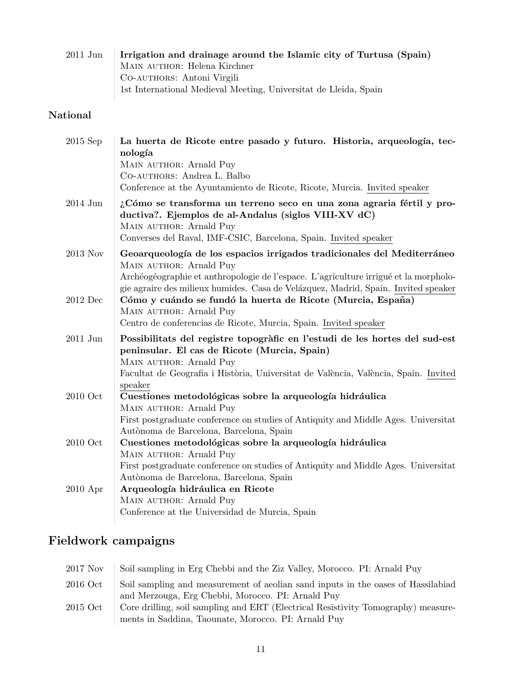| 2011 Jun | Irrigation and drainage around the Islamic city of Turtusa (Spain) |
|----------|--------------------------------------------------------------------|
|          | MAIN AUTHOR: Helena Kirchner                                       |
|          | CO-AUTHORS: Antoni Virgili                                         |
|          | 1st International Medieval Meeting, Universitat de Lleida, Spain   |

## National

| $2015$ Sep | La huerta de Ricote entre pasado y futuro. Historia, arqueología, tec-<br>nología                                                                                                                                            |
|------------|------------------------------------------------------------------------------------------------------------------------------------------------------------------------------------------------------------------------------|
|            | MAIN AUTHOR: Arnald Puy<br>CO-AUTHORS: Andrea L. Balbo                                                                                                                                                                       |
|            | Conference at the Ayuntamiento de Ricote, Ricote, Murcia. Invited speaker                                                                                                                                                    |
| 2014 Jun   | ¿Cómo se transforma un terreno seco en una zona agraria fértil y pro-<br>ductiva?. Ejemplos de al-Andalus (siglos VIII-XV dC)<br>MAIN AUTHOR: Arnald Puy<br>Converses del Raval, IMF-CSIC, Barcelona, Spain. Invited speaker |
| 2013 Nov   | Geoarqueología de los espacios irrigados tradicionales del Mediterráneo                                                                                                                                                      |
|            | MAIN AUTHOR: Arnald Puy<br>Archéogéographie et anthropologie de l'espace. L'agriculture irrigué et la morpholo-<br>gie agraire des milieux humides. Casa de Velázquez, Madrid, Spain. Invited speaker                        |
| $2012$ Dec | Cómo y cuándo se fundó la huerta de Ricote (Murcia, España)                                                                                                                                                                  |
|            | MAIN AUTHOR: Arnald Puy                                                                                                                                                                                                      |
|            | Centro de conferencias de Ricote, Murcia, Spain. Invited speaker                                                                                                                                                             |
| $2011$ Jun | Possibilitats del registre topogràfic en l'estudi de les hortes del sud-est                                                                                                                                                  |
|            | peninsular. El cas de Ricote (Murcia, Spain)                                                                                                                                                                                 |
|            | MAIN AUTHOR: Arnald Puy<br>Facultat de Geografia i Història, Universitat de València, València, Spain. Invited                                                                                                               |
| 2010 Oct   | speaker<br>Cuestiones metodológicas sobre la arqueología hidráulica                                                                                                                                                          |
|            | MAIN AUTHOR: Arnald Puy                                                                                                                                                                                                      |
|            | First postgraduate conference on studies of Antiquity and Middle Ages. Universitat                                                                                                                                           |
| 2010 Oct   | Autònoma de Barcelona, Barcelona, Spain<br>Cuestiones metodológicas sobre la arqueología hidráulica                                                                                                                          |
|            | MAIN AUTHOR: Arnald Puy                                                                                                                                                                                                      |
|            | First postgraduate conference on studies of Antiquity and Middle Ages. Universitat                                                                                                                                           |
|            | Autònoma de Barcelona, Barcelona, Spain                                                                                                                                                                                      |
| $2010$ Apr | Arqueología hidráulica en Ricote<br>MAIN AUTHOR: Arnald Puy                                                                                                                                                                  |
|            | Conference at the Universidad de Murcia, Spain                                                                                                                                                                               |

## Fieldwork campaigns

| 2017 Nov | Soil sampling in Erg Chebbi and the Ziz Valley, Morocco. PI: Arnald Puy                                                                  |
|----------|------------------------------------------------------------------------------------------------------------------------------------------|
| 2016 Oct | Soil sampling and measurement of a eolian sand inputs in the oases of Hassilabiad                                                        |
|          | and Merzouga, Erg Chebbi, Morocco. PI: Arnald Puy                                                                                        |
| 2015 Oct | Core drilling, soil sampling and ERT (Electrical Resistivity Tomography) measure-<br>ments in Saddina, Taounate, Morocco. PI: Arnald Puy |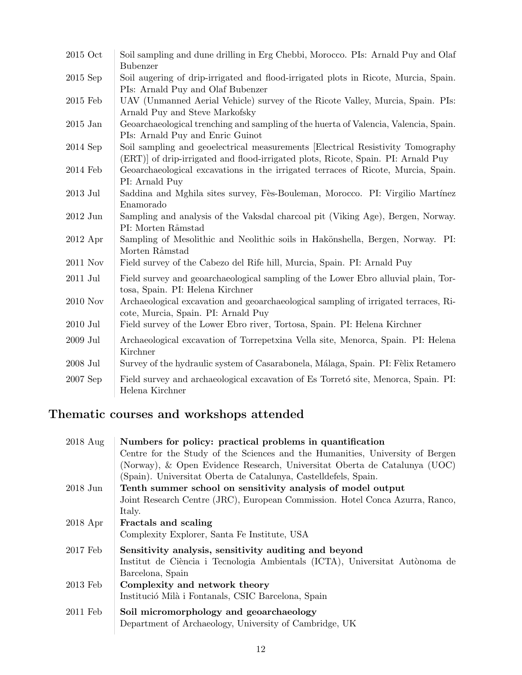| 2015 Oct   | Soil sampling and dune drilling in Erg Chebbi, Morocco. PIs: Arnald Puy and Olaf<br><b>Bubenzer</b>                                                                 |
|------------|---------------------------------------------------------------------------------------------------------------------------------------------------------------------|
| $2015$ Sep | Soil augering of drip-irrigated and flood-irrigated plots in Ricote, Murcia, Spain.<br>PIs: Arnald Puy and Olaf Bubenzer                                            |
| $2015$ Feb | UAV (Unmanned Aerial Vehicle) survey of the Ricote Valley, Murcia, Spain. PIs:<br>Arnald Puy and Steve Markofsky                                                    |
| $2015$ Jan | Geoarchaeological trenching and sampling of the huerta of Valencia, Valencia, Spain.<br>PIs: Arnald Puy and Enric Guinot                                            |
| $2014$ Sep | Soil sampling and geoelectrical measurements [Electrical Resistivity Tomography<br>(ERT) of drip-irrigated and flood-irrigated plots, Ricote, Spain. PI: Arnald Puy |
| 2014 Feb   | Geoarchaeological excavations in the irrigated terraces of Ricote, Murcia, Spain.<br>PI: Arnald Puy                                                                 |
| $2013$ Jul | Saddina and Mghila sites survey, Fès-Bouleman, Morocco. PI: Virgilio Martínez<br>Enamorado                                                                          |
| $2012$ Jun | Sampling and analysis of the Vaksdal charcoal pit (Viking Age), Bergen, Norway.<br>PI: Morten Råmstad                                                               |
| $2012$ Apr | Sampling of Mesolithic and Neolithic soils in Hakönshella, Bergen, Norway. PI:<br>Morten Råmstad                                                                    |
| 2011 Nov   | Field survey of the Cabezo del Rife hill, Murcia, Spain. PI: Arnald Puy                                                                                             |
| 2011 Jul   | Field survey and geoarchaeological sampling of the Lower Ebro alluvial plain, Tor-<br>tosa, Spain. PI: Helena Kirchner                                              |
| 2010 Nov   | Archaeological excavation and geoarchaeological sampling of irrigated terraces, Ri-<br>cote, Murcia, Spain. PI: Arnald Puy                                          |
| $2010$ Jul | Field survey of the Lower Ebro river, Tortosa, Spain. PI: Helena Kirchner                                                                                           |
| $2009$ Jul | Archaeological excavation of Torrepetxina Vella site, Menorca, Spain. PI: Helena<br>Kirchner                                                                        |
| 2008 Jul   | Survey of the hydraulic system of Casarabonela, Málaga, Spain. PI: Fèlix Retamero                                                                                   |
| 2007 Sep   | Field survey and archaeological excavation of Es Torretó site, Menorca, Spain. PI:<br>Helena Kirchner                                                               |

## Thematic courses and workshops attended

| $2018$ Aug | Numbers for policy: practical problems in quantification                      |
|------------|-------------------------------------------------------------------------------|
|            | Centre for the Study of the Sciences and the Humanities, University of Bergen |
|            | (Norway), & Open Evidence Research, Universitat Oberta de Catalunya (UOC)     |
|            | (Spain). Universitat Oberta de Catalunya, Castelldefels, Spain.               |
| $2018$ Jun | Tenth summer school on sensitivity analysis of model output                   |
|            | Joint Research Centre (JRC), European Commission. Hotel Conca Azurra, Ranco,  |
|            | Italy.                                                                        |
| $2018$ Apr | Fractals and scaling                                                          |
|            | Complexity Explorer, Santa Fe Institute, USA                                  |
| 2017 Feb   | Sensitivity analysis, sensitivity auditing and beyond                         |
|            | Institut de Ciència i Tecnologia Ambientals (ICTA), Universitat Autònoma de   |
|            | Barcelona, Spain                                                              |
| 2013 Feb   | Complexity and network theory                                                 |
|            | Institució Milà i Fontanals, CSIC Barcelona, Spain                            |
| 2011 Feb   | Soil micromorphology and geoarchaeology                                       |
|            | Department of Archaeology, University of Cambridge, UK                        |
|            |                                                                               |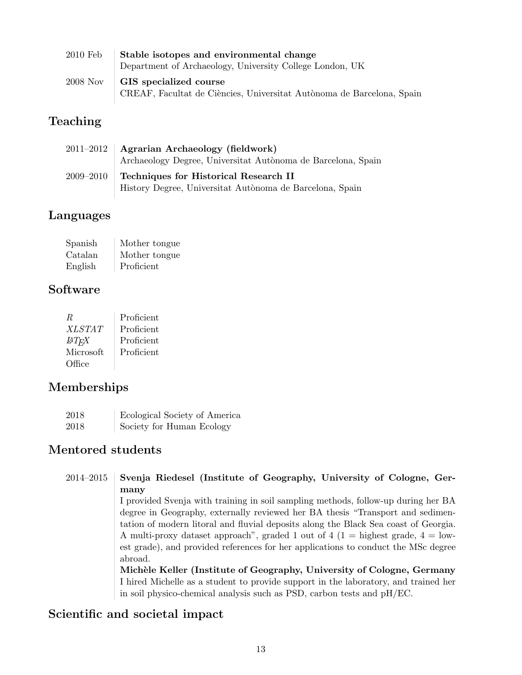| $2010$ Feb | Stable isotopes and environmental change                                                        |
|------------|-------------------------------------------------------------------------------------------------|
|            | Department of Archaeology, University College London, UK                                        |
| 2008 Nov   | GIS specialized course<br>CREAF, Facultat de Ciències, Universitat Autònoma de Barcelona, Spain |

## Teaching

| $2011 - 2012$ | Agrarian Archaeology (fieldwork)<br>Archaeology Degree, Universitat Autònoma de Barcelona, Spain  |
|---------------|---------------------------------------------------------------------------------------------------|
| $2009 - 2010$ | Techniques for Historical Research II<br>History Degree, Universitat Autònoma de Barcelona, Spain |

## Languages

| Spanish | Mother tongue |
|---------|---------------|
| Catalan | Mother tongue |
| English | Proficient    |

## Software

| R             | Proficient |
|---------------|------------|
| <i>XLSTAT</i> | Proficient |
| <b>ATFX</b>   | Proficient |
| Microsoft     | Proficient |
| Office        |            |

## Memberships

| 2018 | Ecological Society of America |
|------|-------------------------------|
| 2018 | Society for Human Ecology     |

## Mentored students

| $2014 - 2015$ | Svenja Riedesel (Institute of Geography, University of Cologne, Ger-                |
|---------------|-------------------------------------------------------------------------------------|
|               | many                                                                                |
|               | I provided Svenja with training in soil sampling methods, follow-up during her BA   |
|               | degree in Geography, externally reviewed her BA thesis "Transport and sedimen-      |
|               | tation of modern literal and fluvial deposits along the Black Sea coast of Georgia. |
|               | A multi-proxy dataset approach", graded 1 out of 4 (1 = highest grade, $4 =$ low-   |
|               | est grade), and provided references for her applications to conduct the MSc degree  |
|               | abroad.                                                                             |
|               | Michèle Keller (Institute of Geography, University of Cologne, Germany              |
|               | I hired Michelle as a student to provide support in the laboratory, and trained her |
|               | in soil physico-chemical analysis such as PSD, carbon tests and pH/EC.              |

## Scientific and societal impact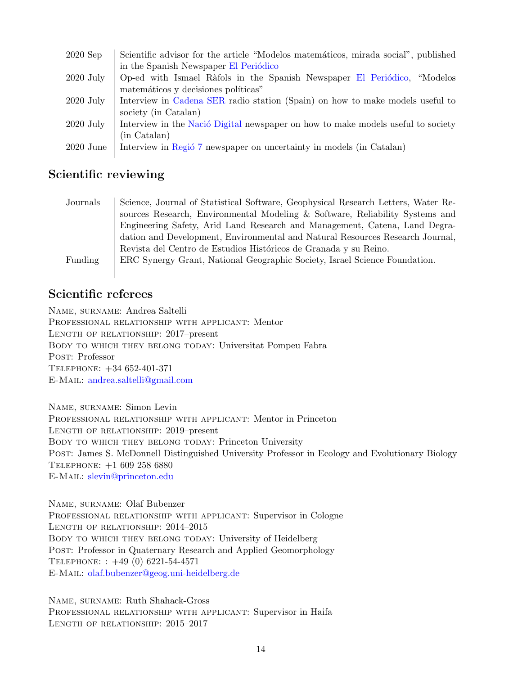| $2020$ Sep  | Scientific advisor for the article "Modelos matemáticos, mirada social", published |
|-------------|------------------------------------------------------------------------------------|
|             | in the Spanish Newspaper El Periódico                                              |
| $2020$ July | Op-ed with Ismael Ràfols in the Spanish Newspaper El Periódico, "Modelos           |
|             | matemáticos y decisiones políticas"                                                |
| $2020$ July | Interview in Cadena SER radio station (Spain) on how to make models useful to      |
|             | society (in Catalan)                                                               |
| $2020$ July | Interview in the Nació Digital newspaper on how to make models useful to society   |
|             | (in Catalan)                                                                       |
| $2020$ June | Interview in Regió 7 newspaper on uncertainty in models (in Catalan)               |

#### Scientific reviewing

| Journals | Science, Journal of Statistical Software, Geophysical Research Letters, Water Re- |
|----------|-----------------------------------------------------------------------------------|
|          | sources Research, Environmental Modeling & Software, Reliability Systems and      |
|          | Engineering Safety, Arid Land Research and Management, Catena, Land Degra-        |
|          | dation and Development, Environmental and Natural Resources Research Journal,     |
|          | Revista del Centro de Estudios Históricos de Granada y su Reino.                  |
| Funding  | ERC Synergy Grant, National Geographic Society, Israel Science Foundation.        |

### Scientific referees

Name, surname: Andrea Saltelli Professional relationship with applicant: Mentor Length of relationship: 2017–present Body to which they belong today: Universitat Pompeu Fabra POST: Professor Telephone: +34 652-401-371 E-Mail: [andrea.saltelli@gmail.com](mailto:andrea.saltelli@gmail.com)

Name, surname: Simon Levin Professional relationship with applicant: Mentor in Princeton Length of relationship: 2019–present BODY TO WHICH THEY BELONG TODAY: Princeton University Post: James S. McDonnell Distinguished University Professor in Ecology and Evolutionary Biology Telephone: +1 609 258 6880 E-Mail: [slevin@princeton.edu](mailto:slevin@princeton.edu)

Name, surname: Olaf Bubenzer Professional relationship with applicant: Supervisor in Cologne Length of relationship: 2014–2015 BODY TO WHICH THEY BELONG TODAY: University of Heidelberg POST: Professor in Quaternary Research and Applied Geomorphology Telephone: : +49 (0) 6221-54-4571 E-Mail: [olaf.bubenzer@geog.uni-heidelberg.de](mailto:olaf.bubenzer@geog.uni-heidelberg.de)

Name, surname: Ruth Shahack-Gross Professional relationship with applicant: Supervisor in Haifa Length of relationship: 2015–2017